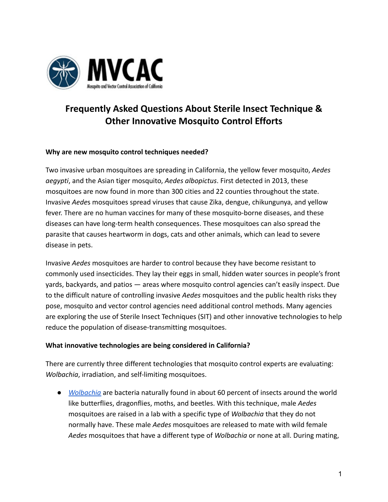

# **Frequently Asked Questions About Sterile Insect Technique & Other Innovative Mosquito Control Efforts**

## **Why are new mosquito control techniques needed?**

Two invasive urban mosquitoes are spreading in California, the yellow fever mosquito, *Aedes aegypti*, and the Asian tiger mosquito, *Aedes albopictus*. First detected in 2013, these mosquitoes are now found in more than 300 cities and 22 counties throughout the state. Invasive *Aede*s mosquitoes spread viruses that cause Zika, dengue, chikungunya, and yellow fever. There are no human vaccines for many of these mosquito-borne diseases, and these diseases can have long-term health consequences. These mosquitoes can also spread the parasite that causes heartworm in dogs, cats and other animals, which can lead to severe disease in pets.

Invasive *Aedes* mosquitoes are harder to control because they have become resistant to commonly used insecticides. They lay their eggs in small, hidden water sources in people's front yards, backyards, and patios — areas where mosquito control agencies can't easily inspect. Due to the difficult nature of controlling invasive *Aedes* mosquitoes and the public health risks they pose, mosquito and vector control agencies need additional control methods. Many agencies are exploring the use of Sterile Insect Techniques (SIT) and other innovative technologies to help reduce the population of disease-transmitting mosquitoes.

#### **What innovative technologies are being considered in California?**

There are currently three different technologies that mosquito control experts are evaluating: *Wolbachia*, irradiation, and self-limiting mosquitoes.

● *[Wolbachia](https://www.cdc.gov/mosquitoes/mosquito-control/community/sit/wolbachia.html)* are bacteria naturally found in about 60 percent of insects around the world like butterflies, dragonflies, moths, and beetles. With this technique, male *Aedes* mosquitoes are raised in a lab with a specific type of *Wolbachia* that they do not normally have. These male *Aedes* mosquitoes are released to mate with wild female *Aedes* mosquitoes that have a different type of *Wolbachia* or none at all. During mating,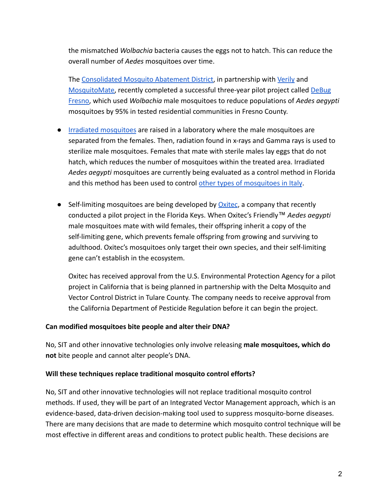the mismatched *Wolbachia* bacteria causes the eggs not to hatch. This can reduce the overall number of *Aedes* mosquitoes over time.

The [Consolidated Mosquito Abatement District,](https://www.mosquitobuzz.net/) in partnership with [Verily](https://verily.com/) an[d](https://mosquitomate.com/) [MosquitoMate,](https://mosquitomate.com/) recently completed a successful three-year pilot project called [DeBug](https://blog.debug.com/2020/01/three-great-years-of-debug-fresno.html) [Fresno,](https://blog.debug.com/2020/01/three-great-years-of-debug-fresno.html) which used *Wolbachia* male mosquitoes to reduce populations of *Aedes aegypti* mosquitoes by 95% in tested residential communities in Fresno County.

- [Irradiated mosquitoes](https://www.cdc.gov/mosquitoes/mosquito-control/community/sit/irradiated.html) are raised in a laboratory where the male mosquitoes are separated from the females. Then, radiation found in x-rays and Gamma rays is used to sterilize male mosquitoes. Females that mate with sterile males lay eggs that do not hatch, which reduces the number of mosquitoes within the treated area. Irradiated *Aedes aegypti* mosquitoes are currently being evaluated as a control method in Florida and this method has been used to control other types [of mosquitoes in Italy](https://pubmed.ncbi.nlm.nih.gov/23540120/).
- $\bullet$  Self-limiting mosquitoes are being developed by  $Oxitec$ , a company that recently conducted a pilot project in the Florida Keys. When Oxitec's Friendly™ *Aedes aegypti* male mosquitoes mate with wild females, their offspring inherit a copy of the self-limiting gene, which prevents female offspring from growing and surviving to adulthood. Oxitec's mosquitoes only target their own species, and their self-limiting gene can't establish in the ecosystem.

Oxitec has received approval from the U.S. Environmental Protection Agency for a pilot project in California that is being planned in partnership with the Delta Mosquito and Vector Control District in Tulare County. The company needs to receive approval from the California Department of Pesticide Regulation before it can begin the project.

#### **Can modified mosquitoes bite people and alter their DNA?**

No, SIT and other innovative technologies only involve releasing **male mosquitoes, which do not** bite people and cannot alter people's DNA.

# **Will these techniques replace traditional mosquito control efforts?**

No, SIT and other innovative technologies will not replace traditional mosquito control methods. If used, they will be part of an Integrated Vector Management approach, which is an evidence-based, data-driven decision-making tool used to suppress mosquito-borne diseases. There are many decisions that are made to determine which mosquito control technique will be most effective in different areas and conditions to protect public health. These decisions are